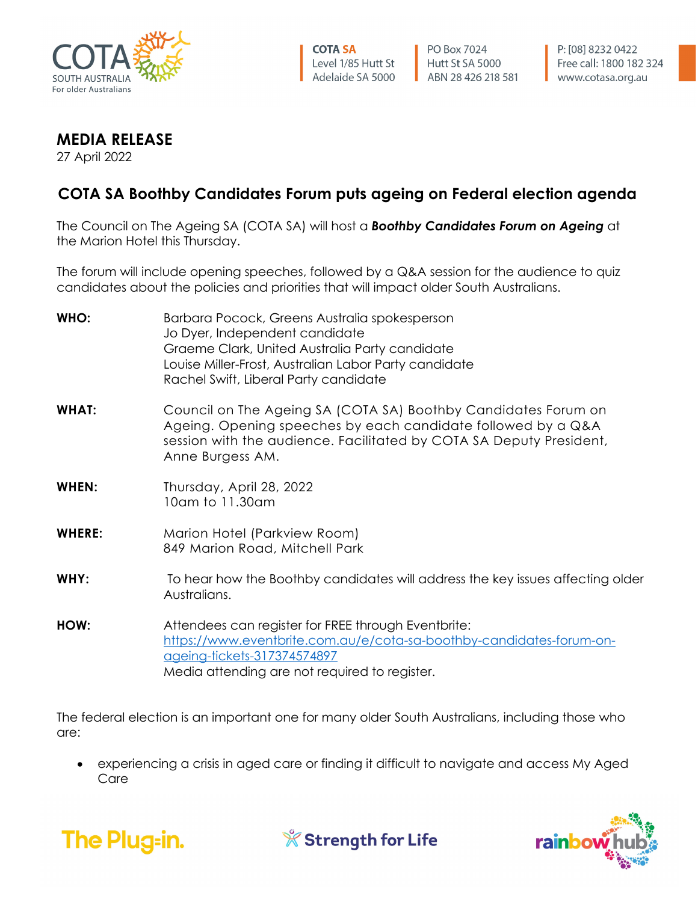

PO Box 7024 Hutt St SA 5000 ABN 28 426 218 581

## **MEDIA RELEASE**

27 April 2022

## **COTA SA Boothby Candidates Forum puts ageing on Federal election agenda**

The Council on The Ageing SA (COTA SA) will host a *Boothby Candidates Forum on Ageing* at the Marion Hotel this Thursday.

The forum will include opening speeches, followed by a Q&A session for the audience to quiz candidates about the policies and priorities that will impact older South Australians.

| WHO:          | Barbara Pocock, Greens Australia spokesperson<br>Jo Dyer, Independent candidate<br>Graeme Clark, United Australia Party candidate<br>Louise Miller-Frost, Australian Labor Party candidate<br>Rachel Swift, Liberal Party candidate |
|---------------|-------------------------------------------------------------------------------------------------------------------------------------------------------------------------------------------------------------------------------------|
| <b>WHAT:</b>  | Council on The Ageing SA (COTA SA) Boothby Candidates Forum on<br>Ageing. Opening speeches by each candidate followed by a Q&A<br>session with the audience. Facilitated by COTA SA Deputy President,<br>Anne Burgess AM.           |
| WHEN:         | Thursday, April 28, 2022<br>10am to 11.30am                                                                                                                                                                                         |
| <b>WHERE:</b> | Marion Hotel (Parkview Room)<br>849 Marion Road, Mitchell Park                                                                                                                                                                      |
| WHY:          | To hear how the Boothby candidates will address the key issues affecting older<br>Australians.                                                                                                                                      |
| HOW:          | Attendees can register for FREE through Eventbrite:<br>https://www.eventbrite.com.au/e/cota-sa-boothby-candidates-forum-on-<br>ageing-tickets-317374574897<br>Media attending are not required to register.                         |

The federal election is an important one for many older South Australians, including those who are:

• experiencing a crisis in aged care or finding it difficult to navigate and access My Aged Care